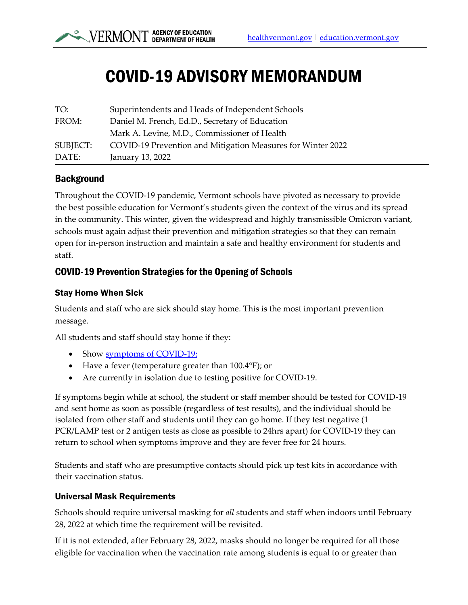# COVID-19 ADVISORY MEMORANDUM

| TO:      | Superintendents and Heads of Independent Schools            |
|----------|-------------------------------------------------------------|
| FROM:    | Daniel M. French, Ed.D., Secretary of Education             |
|          | Mark A. Levine, M.D., Commissioner of Health                |
| SUBJECT: | COVID-19 Prevention and Mitigation Measures for Winter 2022 |
| DATE:    | January 13, 2022                                            |

## Background

Throughout the COVID-19 pandemic, Vermont schools have pivoted as necessary to provide the best possible education for Vermont's students given the context of the virus and its spread in the community. This winter, given the widespread and highly transmissible Omicron variant, schools must again adjust their prevention and mitigation strategies so that they can remain open for in-person instruction and maintain a safe and healthy environment for students and staff.

## COVID-19 Prevention Strategies for the Opening of Schools

#### Stay Home When Sick

Students and staff who are sick should stay home. This is the most important prevention message.

All students and staff should stay home if they:

- Show [symptoms of COVID-19;](https://www.healthvermont.gov/covid-19/symptoms-sickness/symptoms)
- Have a fever (temperature greater than 100.4°F); or
- Are currently in isolation due to testing positive for COVID-19.

If symptoms begin while at school, the student or staff member should be tested for COVID-19 and sent home as soon as possible (regardless of test results), and the individual should be isolated from other staff and students until they can go home. If they test negative (1 PCR/LAMP test or 2 antigen tests as close as possible to 24hrs apart) for COVID-19 they can return to school when symptoms improve and they are fever free for 24 hours.

Students and staff who are presumptive contacts should pick up test kits in accordance with their vaccination status.

#### Universal Mask Requirements

Schools should require universal masking for *all* students and staff when indoors until February 28, 2022 at which time the requirement will be revisited.

If it is not extended, after February 28, 2022, masks should no longer be required for all those eligible for vaccination when the vaccination rate among students is equal to or greater than